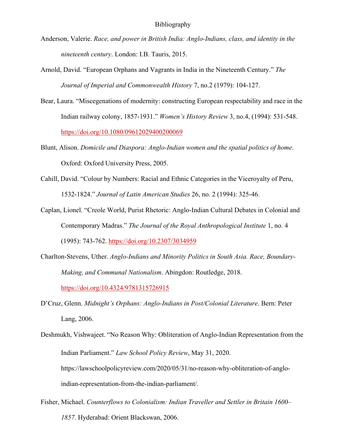- Anderson, Valerie. *Race, and power in British India: Anglo-Indians, class, and identity in the nineteenth century*. London: I.B. Tauris, 2015.
- Arnold, David. "European Orphans and Vagrants in India in the Nineteenth Century." *The Journal of Imperial and Commonwealth History* 7, no.2 (1979): 104-127.
- Bear, Laura. "Miscegenations of modernity: constructing European respectability and race in the Indian railway colony, 1857-1931." *Women's History Review* 3, no.4, (1994): 531-548. <https://doi.org/10.1080/09612029400200069>
- Blunt, Alison. *Domicile and Diaspora: Anglo-Indian women and the spatial politics of home*. Oxford: Oxford University Press, 2005.
- Cahill, David. "Colour by Numbers: Racial and Ethnic Categories in the Viceroyalty of Peru, 1532-1824." *Journal of Latin American Studies* 26, no. 2 (1994): 325-46.
- Caplan, Lionel. "Creole World, Purist Rhetoric: Anglo-Indian Cultural Debates in Colonial and Contemporary Madras." *The Journal of the Royal Anthropological Institute* 1, no. 4 (1995): 743-762.<https://doi.org/10.2307/3034959>
- Charlton-Stevens, Uther. *Anglo-Indians and Minority Politics in South Asia. Race, Boundary-Making, and Communal Nationalism*. Abingdon: Routledge, 2018.

<https://doi.org/10.4324/9781315726915>

- D'Cruz, Glenn. *Midnight's Orphans: Anglo-Indians in Post/Colonial Literature*. Bern: Peter Lang, 2006.
- Deshmukh, Vishwajeet. "No Reason Why: Obliteration of Anglo-Indian Representation from the Indian Parliament." *Law School Policy Review*, May 31, 2020. https://lawschoolpolicyreview.com/2020/05/31/no-reason-why-obliteration-of-angloindian-representation-from-the-indian-parliament/.
- Fisher, Michael. *Counterflows to Colonialism: Indian Traveller and Settler in Britain 1600– 1857*. Hyderabad: Orient Blackswan, 2006.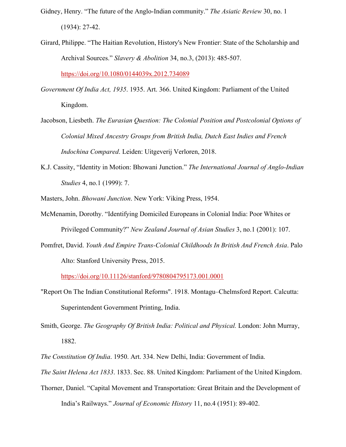- Gidney, Henry. "The future of the Anglo-Indian community." *The Asiatic Review* 30, no. 1 (1934): 27-42.
- Girard, Philippe. "The Haitian Revolution, History's New Frontier: State of the Scholarship and Archival Sources." *Slavery & Abolition* 34, no.3, (2013): 485-507. https://doi.org/10.1080/0144039x.2012.734089

*Government Of India Act, 1935*. 1935. Art. 366. United Kingdom: Parliament of the United Kingdom.

- Jacobson, Liesbeth. *The Eurasian Question: The Colonial Position and Postcolonial Options of Colonial Mixed Ancestry Groups from British India, Dutch East Indies and French Indochina Compared*. Leiden: Uitgeverij Verloren, 2018.
- K.J. Cassity, "Identity in Motion: Bhowani Junction." *The International Journal of Anglo-Indian Studies* 4, no.1 (1999): 7.

Masters, John. *Bhowani Junction*. New York: Viking Press, 1954.

- McMenamin, Dorothy. "Identifying Domiciled Europeans in Colonial India: Poor Whites or Privileged Community?" *New Zealand Journal of Asian Studies* 3, no.1 (2001): 107.
- Pomfret, David. *Youth And Empire Trans-Colonial Childhoods In British And French Asia*. Palo Alto: Stanford University Press, 2015.

<https://doi.org/10.11126/stanford/9780804795173.001.0001>

- "Report On The Indian Constitutional Reforms". 1918. Montagu–Chelmsford Report. Calcutta: Superintendent Government Printing, India.
- Smith, George. *The Geography Of British India: Political and Physical.* London: John Murray, 1882.
- *The Constitution Of India*. 1950. Art. 334. New Delhi, India: Government of India.

*The Saint Helena Act 1833*. 1833. Sec. 88. United Kingdom: Parliament of the United Kingdom.

Thorner, Daniel. "Capital Movement and Transportation: Great Britain and the Development of India's Railways." *Journal of Economic History* 11, no.4 (1951): 89-402.